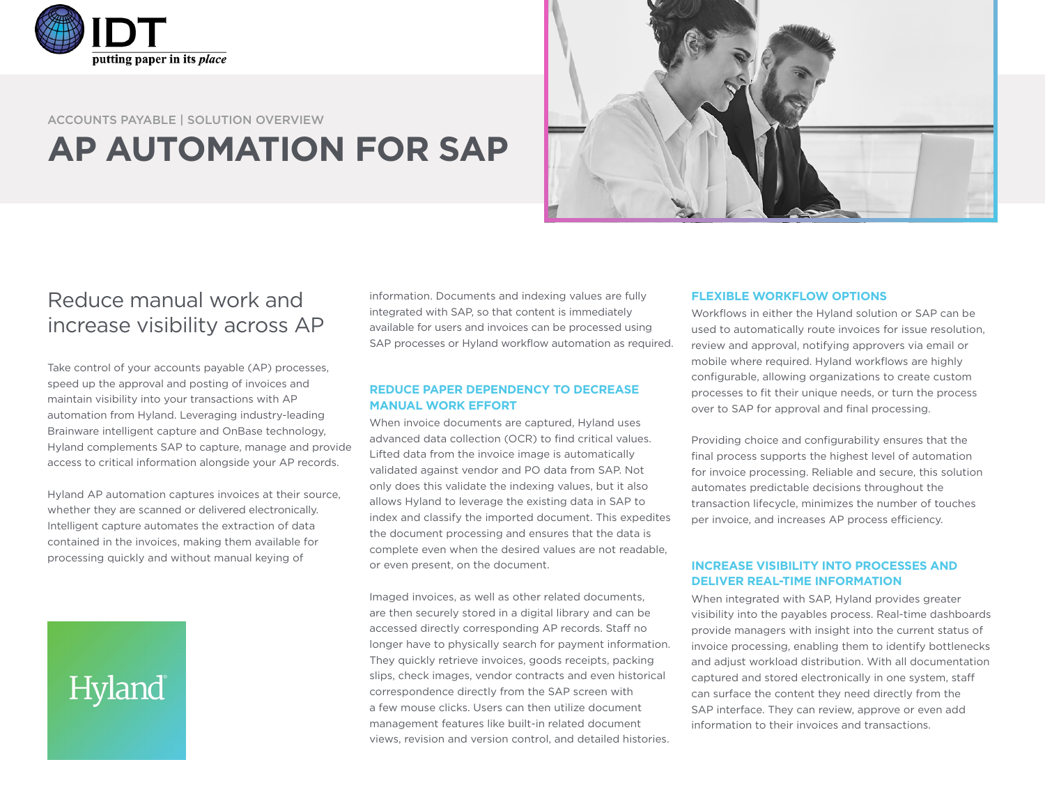

### ACCOUNTS PAYABLE | SOLUTION OVERVIEW **AP AUTOMATION FOR SAP**



## Reduce manual work and increase visibility across AP

Take control of your accounts payable (AP) processes, speed up the approval and posting of invoices and maintain visibility into your transactions with AP automation from Hyland. Leveraging industry-leading Brainware intelligent capture and OnBase technology, Hyland complements SAP to capture, manage and provide access to critical information alongside your AP records.

Hyland AP automation captures invoices at their source, whether they are scanned or delivered electronically. Intelligent capture automates the extraction of data contained in the invoices, making them available for processing quickly and without manual keying of

# Hyland

information. Documents and indexing values are fully integrated with SAP, so that content is immediately available for users and invoices can be processed using SAP processes or Hyland workflow automation as required.

#### **REDUCE PAPER DEPENDENCY TO DECREASE MANUAL WORK EFFORT**

When invoice documents are captured, Hyland uses advanced data collection (OCR) to find critical values. Lifted data from the invoice image is automatically validated against vendor and PO data from SAP. Not only does this validate the indexing values, but it also allows Hyland to leverage the existing data in SAP to index and classify the imported document. This expedites the document processing and ensures that the data is complete even when the desired values are not readable, or even present, on the document.

Imaged invoices, as well as other related documents, are then securely stored in a digital library and can be accessed directly corresponding AP records. Staff no longer have to physically search for payment information. They quickly retrieve invoices, goods receipts, packing slips, check images, vendor contracts and even historical correspondence directly from the SAP screen with a few mouse clicks. Users can then utilize document management features like built-in related document views, revision and version control, and detailed histories.

#### **FLEXIBLE WORKFLOW OPTIONS**

Workflows in either the Hyland solution or SAP can be used to automatically route invoices for issue resolution, review and approval, notifying approvers via email or mobile where required. Hyland workflows are highly configurable, allowing organizations to create custom processes to fit their unique needs, or turn the process over to SAP for approval and final processing.

Providing choice and configurability ensures that the final process supports the highest level of automation for invoice processing. Reliable and secure, this solution automates predictable decisions throughout the transaction lifecycle, minimizes the number of touches per invoice, and increases AP process efficiency.

#### **INCREASE VISIBILITY INTO PROCESSES AND DELIVER REAL-TIME INFORMATION**

When integrated with SAP, Hyland provides greater visibility into the payables process. Real-time dashboards provide managers with insight into the current status of invoice processing, enabling them to identify bottlenecks and adjust workload distribution. With all documentation captured and stored electronically in one system, staff can surface the content they need directly from the SAP interface. They can review, approve or even add information to their invoices and transactions.